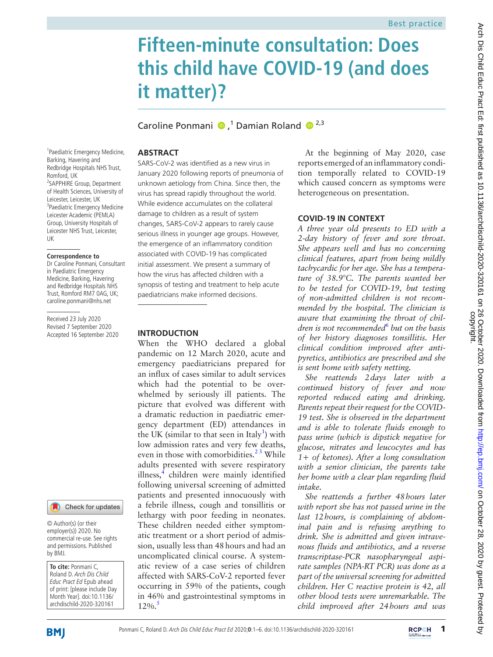# **Fifteen-minute consultation: Does this child have COVID-19 (and does it matter)?**

# Caroline Ponmani D,<sup>1</sup> Damian Roland D<sup>2,3</sup>

**ABSTRACT**

SARS-CoV-2 was identified as a new virus in January 2020 following reports of pneumonia of unknown aetiology from China. Since then, the virus has spread rapidly throughout the world. While evidence accumulates on the collateral damage to children as a result of system changes, SARS-CoV-2 appears to rarely cause serious illness in younger age groups. However, the emergence of an inflammatory condition associated with COVID-19 has complicated initial assessment. We present a summary of how the virus has affected children with a synopsis of testing and treatment to help acute paediatricians make informed decisions.

## **INTRODUCTION**

When the WHO declared a global pandemic on 12 March 2020, acute and emergency paediatricians prepared for an influx of cases similar to adult services which had the potential to be overwhelmed by seriously ill patients. The picture that evolved was different with a dramatic reduction in paediatric emergency department (ED) attendances in the UK (similar to that seen in Italy<sup>[1](#page-4-0)</sup>) with low admission rates and very few deaths, even in those with comorbidities. $2<sup>3</sup>$  While adults presented with severe respiratory illness,<sup>4</sup> children were mainly identified following universal screening of admitted patients and presented innocuously with a febrile illness, cough and tonsillitis or lethargy with poor feeding in neonates. These children needed either symptomatic treatment or a short period of admission, usually less than 48hours and had an uncomplicated clinical course. A systematic review of a case series of children affected with SARS-CoV-2 reported fever occurring in 59% of the patients, cough in 46% and gastrointestinal symptoms in  $12\%$ .

At the beginning of May 2020, case reports emerged of an inflammatory condition temporally related to COVID-19 which caused concern as symptoms were heterogeneous on presentation.

# **COVID-19 IN CONTEXT**

*A three year old presents to ED with a 2-day history of fever and sore throat. She appears well and has no concerning clinical features, apart from being mildly tachycardic for her age. She has a temperature of 38.9°C. The parents wanted her to be tested for COVID-19, but testing of non-admitted children is not recommended by the hospital. The clinician is aware that examining the throat of children is not recommended*[6](#page-4-4) *but on the basis of her history diagnoses tonsillitis. Her clinical condition improved after antipyretics, antibiotics are prescribed and she is sent home with safety netting.*

*She reattends 2days later with a continued history of fever and now reported reduced eating and drinking. Parents repeat their request for the COVID-19 test. She is observed in the department and is able to tolerate fluids enough to pass urine (which is dipstick negative for glucose, nitrates and leucocytes and has 1+ of ketones). After a long consultation with a senior clinician, the parents take her home with a clear plan regarding fluid intake.*

*She reattends a further 48hours later with report she has not passed urine in the last 12hours, is complaining of abdominal pain and is refusing anything to drink. She is admitted and given intravenous fluids and antibiotics, and a reverse transcriptase-PCR nasopharyngeal aspirate samples (NPA-RT PCR) was done as a part of the universal screening for admitted children. Her C reactive protein is 42, all other blood tests were unremarkable. The child improved after 24hours and was* 

<sup>1</sup> Paediatric Emergency Medicine, Barking, Havering and Redbridge Hospitals NHS Trust, Romford, UK <sup>2</sup>SAPPHIRE Group, Department of Health Sciences, University of Leicester, Leicester, UK <sup>3</sup>Paediatric Emergency Medicine Leicester Academic (PEMLA) Group, University Hospitals of Leicester NHS Trust, Leicester, UK

#### **Correspondence to**

Dr Caroline Ponmani, Consultant in Paediatric Emergency Medicine, Barking, Havering and Redbridge Hospitals NHS Trust, Romford RM7 0AG, UK; caroline.ponmani@nhs.net

Received 23 July 2020 Revised 7 September 2020 Accepted 16 September 2020



© Author(s) (or their employer(s)) 2020. No commercial re-use. See rights and permissions. Published by BMJ.

**To cite:** Ponmani C, Roland D. Arch Dis Child Educ Pract Ed Epub ahead of print: [please include Day Month Year]. doi:10.1136/ archdischild-2020-320161

**BMJ** 



Arch Dis Child Educ Pract Ed: first published as 10.1136/archdischild-2020-320161 on 26 October 2020. Downloaded from http://ep.bmj.com/ on October 28, 2020 by guest. Protected by<br>copyright. Arch Dis Child Educ Pract Ed: first published as 10.1136/archdischild-2020-2020. Downloaded from <http://ep.bmj.com/> on October 28, 2020 by guest. Protected by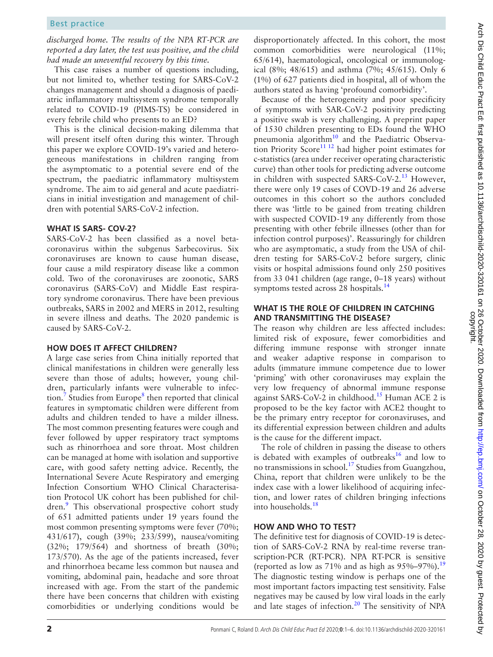*discharged home. The results of the NPA RT-PCR are reported a day later, the test was positive, and the child had made an uneventful recovery by this time.*

This case raises a number of questions including, but not limited to, whether testing for SARS-CoV-2 changes management and should a diagnosis of paediatric inflammatory multisystem syndrome temporally related to COVID-19 (PIMS-TS) be considered in every febrile child who presents to an ED?

This is the clinical decision-making dilemma that will present itself often during this winter. Through this paper we explore COVID-19's varied and heterogeneous manifestations in children ranging from the asymptomatic to a potential severe end of the spectrum, the paediatric inflammatory multisystem syndrome. The aim to aid general and acute paediatricians in initial investigation and management of children with potential SARS-CoV-2 infection.

#### **WHAT IS SARS- COV-2?**

SARS-CoV-2 has been classified as a novel betacoronavirus within the subgenus Sarbecovirus. Six coronaviruses are known to cause human disease, four cause a mild respiratory disease like a common cold. Two of the coronaviruses are zoonotic, SARS coronavirus (SARS-CoV) and Middle East respiratory syndrome coronavirus. There have been previous outbreaks, SARS in 2002 and MERS in 2012, resulting in severe illness and deaths. The 2020 pandemic is caused by SARS-CoV-2.

#### **HOW DOES IT AFFECT CHILDREN?**

A large case series from China initially reported that clinical manifestations in children were generally less severe than those of adults; however, young children, particularly infants were vulnerable to infec-tion.<sup>[7](#page-4-5)</sup> Studies from Europe<sup>8</sup> then reported that clinical features in symptomatic children were different from adults and children tended to have a milder illness. The most common presenting features were cough and fever followed by upper respiratory tract symptoms such as rhinorrhoea and sore throat. Most children can be managed at home with isolation and supportive care, with good safety netting advice. Recently, the International Severe Acute Respiratory and emerging Infection Consortium WHO Clinical Characterisation Protocol UK cohort has been published for children.<sup>9</sup> This observational prospective cohort study of 651 admitted patients under 19 years found the most common presenting symptoms were fever (70%; 431/617), cough (39%; 233/599), nausea/vomiting (32%; 179/564) and shortness of breath (30%; 173/570). As the age of the patients increased, fever and rhinorrhoea became less common but nausea and vomiting, abdominal pain, headache and sore throat increased with age. From the start of the pandemic there have been concerns that children with existing comorbidities or underlying conditions would be

disproportionately affected. In this cohort, the most common comorbidities were neurological (11%; 65/614), haematological, oncological or immunological (8%; 48/615) and asthma (7%; 45/615). Only 6 (1%) of 627 patients died in hospital, all of whom the authors stated as having 'profound comorbidity'.

Because of the heterogeneity and poor specificity of symptoms with SAR-CoV-2 positivity predicting a positive swab is very challenging. A preprint paper of 1530 children presenting to EDs found the WHO pneumonia algorithm<sup>10</sup> and the Paediatric Observation Priority Score<sup>11 12</sup> had higher point estimates for c-statistics (area under receiver operating characteristic curve) than other tools for predicting adverse outcome in children with suspected SARS-CoV-2.<sup>[13](#page-4-10)</sup> However, there were only 19 cases of COVD-19 and 26 adverse outcomes in this cohort so the authors concluded there was 'little to be gained from treating children with suspected COVID-19 any differently from those presenting with other febrile illnesses (other than for infection control purposes)'. Reassuringly for children who are asymptomatic, a study from the USA of children testing for SARS-CoV-2 before surgery, clinic visits or hospital admissions found only 250 positives from 33 041 children (age range, 0–18 years) without symptoms tested across 28 hospitals.<sup>[14](#page-4-11)</sup>

#### **WHAT IS THE ROLE OF CHILDREN IN CATCHING AND TRANSMITTING THE DISEASE?**

The reason why children are less affected includes: limited risk of exposure, fewer comorbidities and differing immune response with stronger innate and weaker adaptive response in comparison to adults (immature immune competence due to lower 'priming' with other coronaviruses may explain the very low frequency of abnormal immune response against SARS-CoV-2 in childhood.[15](#page-5-0) Human ACE 2 is proposed to be the key factor with ACE2 thought to be the primary entry receptor for coronaviruses, and its differential expression between children and adults is the cause for the different impact.

The role of children in passing the disease to others is debated with examples of outbreaks $16$  and low to no transmissions in school.<sup>[17](#page-5-2)</sup> Studies from Guangzhou, China, report that children were unlikely to be the index case with a lower likelihood of acquiring infection, and lower rates of children bringing infections into households.[18](#page-5-3)

### **HOW AND WHO TO TEST?**

The definitive test for diagnosis of COVID-19 is detection of SARS-CoV-2 RNA by real-time reverse transcription-PCR (RT-PCR). NPA RT-PCR is sensitive (reported as low as  $71\%$  and as high as  $95\% - 97\%$ ).<sup>[19](#page-5-4)</sup> The diagnostic testing window is perhaps one of the most important factors impacting test sensitivity. False negatives may be caused by low viral loads in the early and late stages of infection.<sup>[20](#page-5-5)</sup> The sensitivity of NPA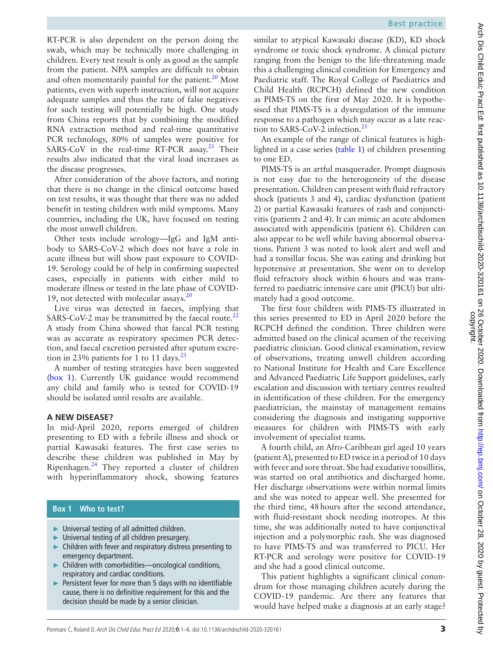RT-PCR is also dependent on the person doing the swab, which may be technically more challenging in children. Every test result is only as good as the sample from the patient. NPA samples are difficult to obtain and often momentarily painful for the patient. $20$  Most patients, even with superb instruction, will not acquire adequate samples and thus the rate of false negatives for such testing will potentially be high. One study from China reports that by combining the modified RNA extraction method and real-time quantitative PCR technology, 80% of samples were positive for SARS-CoV in the real-time RT-PCR assay.<sup>[21](#page-5-6)</sup> Their results also indicated that the viral load increases as the disease progresses.

After consideration of the above factors, and noting that there is no change in the clinical outcome based on test results, it was thought that there was no added benefit in testing children with mild symptoms. Many countries, including the UK, have focused on testing the most unwell children.

Other tests include serology—IgG and IgM antibody to SARS-CoV-2 which does not have a role in acute illness but will show past exposure to COVID-19. Serology could be of help in confirming suspected cases, especially in patients with either mild to moderate illness or tested in the late phase of COVID-19, not detected with molecular assays.<sup>[20](#page-5-5)</sup>

Live virus was detected in faeces, implying that SARS-CoV-2 may be transmitted by the faecal route. $^{22}$  $^{22}$  $^{22}$ A study from China showed that faecal PCR testing was as accurate as respiratory specimen PCR detection, and faecal excretion persisted after sputum excre-tion in [23](#page-5-8)% patients for 1 to 11 days.<sup>23</sup>

A number of testing strategies have been suggested [\(box](#page-2-0) 1). Currently UK guidance would recommend any child and family who is tested for COVID-19 should be isolated until results are available.

## **A NEW DISEASE?**

In mid-April 2020, reports emerged of children presenting to ED with a febrile illness and shock or partial Kawasaki features. The first case series to describe these children was published in May by Ripenhagen[.24](#page-5-9) They reported a cluster of children with hyperinflammatory shock, showing features

#### **Box 1 Who to test?**

- <span id="page-2-0"></span>► Universal testing of all admitted children.
- ► Universal testing of all children presurgery.
- Children with fever and respiratory distress presenting to emergency department.
- ► Children with comorbidities—oncological conditions, respiratory and cardiac conditions.
- ► Persistent fever for more than 5 days with no identifiable cause, there is no definitive requirement for this and the decision should be made by a senior clinician.

similar to atypical Kawasaki disease (KD), KD shock syndrome or toxic shock syndrome. A clinical picture ranging from the benign to the life-threatening made this a challenging clinical condition for Emergency and Paediatric staff. The Royal College of Paediatrics and Child Health (RCPCH) defined the new condition as PIMS-TS on the first of May 2020. It is hypothesised that PIMS-TS is a dysregulation of the immune response to a pathogen which may occur as a late reac-tion to SARS-CoV-2 infection.<sup>[25](#page-5-10)</sup>

An example of the range of clinical features is highlighted in a case series [\(table](#page-3-0) 1) of children presenting to one ED.

PIMS-TS is an artful masquerader. Prompt diagnosis is not easy due to the heterogeneity of the disease presentation. Children can present with fluid refractory shock (patients 3 and 4), cardiac dysfunction (patient 2) or partial Kawasaki features of rash and conjunctivitis (patients 2 and 4). It can mimic an acute abdomen associated with appendicitis (patient 6). Children can also appear to be well while having abnormal observations. Patient 3 was noted to look alert and well and had a tonsillar focus. She was eating and drinking but hypotensive at presentation. She went on to develop fluid refractory shock within 6hours and was transferred to paediatric intensive care unit (PICU) but ultimately had a good outcome.

The first four children with PIMS-TS illustrated in this series presented to ED in April 2020 before the RCPCH defined the condition. Three children were admitted based on the clinical acumen of the receiving paediatric clinician. Good clinical examination, review of observations, treating unwell children according to National Institute for Health and Care Excellence and Advanced Paediatric Life Support guidelines, early escalation and discussion with tertiary centres resulted in identification of these children. For the emergency paediatrician, the mainstay of management remains considering the diagnosis and instigating supportive measures for children with PIMS-TS with early involvement of specialist teams.

A fourth child, an Afro-Caribbean girl aged 10 years (patient A), presented to ED twice in a period of 10 days with fever and sore throat. She had exudative tonsillitis, was started on oral antibiotics and discharged home. Her discharge observations were within normal limits and she was noted to appear well. She presented for the third time, 48hours after the second attendance, with fluid-resistant shock needing inotropes. At this time, she was additionally noted to have conjunctival injection and a polymorphic rash. She was diagnosed to have PIMS-TS and was transferred to PICU. Her RT-PCR and serology were positive for COVID-19 and she had a good clinical outcome.

This patient highlights a significant clinical conundrum for those managing children acutely during the COVID-19 pandemic. Are there any features that would have helped make a diagnosis at an early stage?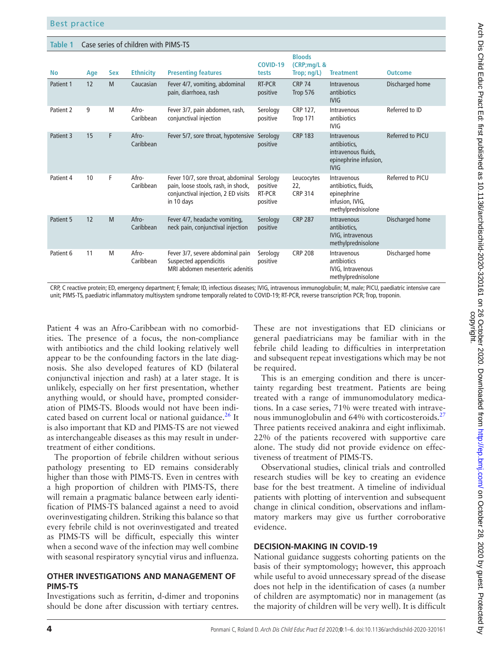<span id="page-3-0"></span>

| Table 1 Case series of children with PIMS-TS |  |  |  |
|----------------------------------------------|--|--|--|
|                                              |  |  |  |

|           |     |            |                    |                                                                                                                                | <b>COVID-19</b>                            | <b>Bloods</b><br>(CRP;mg/L &        |                                                                                             |                  |
|-----------|-----|------------|--------------------|--------------------------------------------------------------------------------------------------------------------------------|--------------------------------------------|-------------------------------------|---------------------------------------------------------------------------------------------|------------------|
| <b>No</b> | Age | <b>Sex</b> | <b>Ethnicity</b>   | <b>Presenting features</b>                                                                                                     | tests                                      | Trop; ng/L)                         | <b>Treatment</b>                                                                            | <b>Outcome</b>   |
| Patient 1 | 12  | M          | Caucasian          | Fever 4/7, vomiting, abdominal<br>pain, diarrhoea, rash                                                                        | <b>RT-PCR</b><br>positive                  | <b>CRP 74</b><br>Trop 576           | Intravenous<br>antibiotics<br><b>IVIG</b>                                                   | Discharged home  |
| Patient 2 | 9   | M          | Afro-<br>Caribbean | Fever 3/7, pain abdomen, rash,<br>conjunctival injection                                                                       | Serology<br>positive                       | CRP 127,<br>Trop 171                | Intravenous<br>antibiotics<br><b>IVIG</b>                                                   | Referred to ID   |
| Patient 3 | 15  | F          | Afro-<br>Caribbean | Fever 5/7, sore throat, hypotensive                                                                                            | Serology<br>positive                       | <b>CRP 183</b>                      | Intravenous<br>antibiotics,<br>intravenous fluids,<br>epinephrine infusion,<br><b>IVIG</b>  | Referred to PICU |
| Patient 4 | 10  | F          | Afro-<br>Caribbean | Fever 10/7, sore throat, abdominal<br>pain, loose stools, rash, in shock,<br>conjunctival injection, 2 ED visits<br>in 10 days | Serology<br>positive<br>RT-PCR<br>positive | Leucocytes<br>22,<br><b>CRP 314</b> | Intravenous<br>antibiotics, fluids,<br>epinephrine<br>infusion, IVIG,<br>methylprednisolone | Referred to PICU |
| Patient 5 | 12  | M          | Afro-<br>Caribbean | Fever 4/7, headache vomiting,<br>neck pain, conjunctival injection                                                             | Serology<br>positive                       | <b>CRP 287</b>                      | Intravenous<br>antibiotics,<br>IVIG, intravenous<br>methylprednisolone                      | Discharged home  |
| Patient 6 | 11  | M          | Afro-<br>Caribbean | Fever 3/7, severe abdominal pain<br>Suspected appendicitis<br>MRI abdomen mesenteric adenitis                                  | Serology<br>positive                       | <b>CRP 208</b>                      | Intravenous<br>antibiotics<br>IVIG, Intravenous<br>methylprednisolone                       | Discharged home  |

CRP, C reactive protein; ED, emergency department; F, female; ID, infectious diseases; IVIG, intravenous immunoglobulin; M, male; PICU, paediatric intensive care unit; PIMS-TS, paediatric inflammatory multisystem syndrome temporally related to COVID-19; RT-PCR, reverse transcription PCR; Trop, troponin.

Patient 4 was an Afro-Caribbean with no comorbidities. The presence of a focus, the non-compliance with antibiotics and the child looking relatively well appear to be the confounding factors in the late diagnosis. She also developed features of KD (bilateral conjunctival injection and rash) at a later stage. It is unlikely, especially on her first presentation, whether anything would, or should have, prompted consideration of PIMS-TS. Bloods would not have been indicated based on current local or national guidance.<sup>26</sup> It is also important that KD and PIMS-TS are not viewed as interchangeable diseases as this may result in undertreatment of either conditions.

The proportion of febrile children without serious pathology presenting to ED remains considerably higher than those with PIMS-TS. Even in centres with a high proportion of children with PIMS-TS, there will remain a pragmatic balance between early identification of PIMS-TS balanced against a need to avoid overinvestigating children. Striking this balance so that every febrile child is not overinvestigated and treated as PIMS-TS will be difficult, especially this winter when a second wave of the infection may well combine with seasonal respiratory syncytial virus and influenza.

## **OTHER INVESTIGATIONS AND MANAGEMENT OF PIMS-TS**

Investigations such as ferritin, d-dimer and troponins should be done after discussion with tertiary centres.

These are not investigations that ED clinicians or general paediatricians may be familiar with in the febrile child leading to difficulties in interpretation and subsequent repeat investigations which may be not be required.

This is an emerging condition and there is uncertainty regarding best treatment. Patients are being treated with a range of immunomodulatory medications. In a case series, 71% were treated with intravenous immunoglobulin and  $64\%$  with corticosteroids.<sup>27</sup> Three patients received anakinra and eight infliximab. 22% of the patients recovered with supportive care alone. The study did not provide evidence on effectiveness of treatment of PIMS-TS.

Observational studies, clinical trials and controlled research studies will be key to creating an evidence base for the best treatment. A timeline of individual patients with plotting of intervention and subsequent change in clinical condition, observations and inflammatory markers may give us further corroborative evidence.

## **DECISION-MAKING IN COVID-19**

National guidance suggests cohorting patients on the basis of their symptomology; however, this approach while useful to avoid unnecessary spread of the disease does not help in the identification of cases (a number of children are asymptomatic) nor in management (as the majority of children will be very well). It is difficult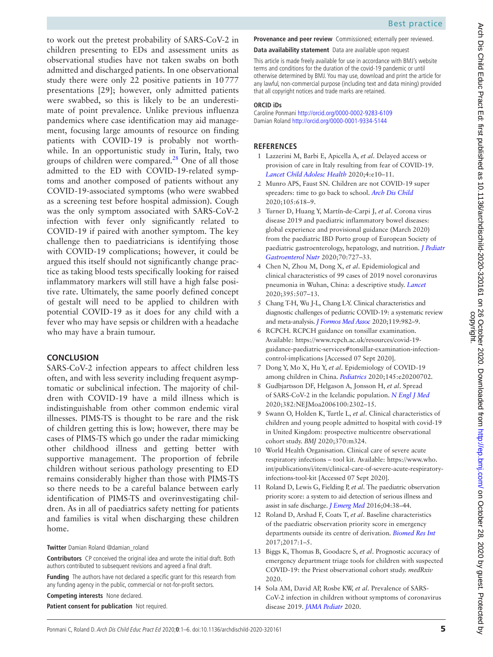to work out the pretest probability of SARS-CoV-2 in children presenting to EDs and assessment units as observational studies have not taken swabs on both admitted and discharged patients. In one observational study there were only 22 positive patients in 10777 presentations [29]; however, only admitted patients were swabbed, so this is likely to be an underestimate of point prevalence. Unlike previous influenza pandemics where case identification may aid management, focusing large amounts of resource on finding patients with COVID-19 is probably not worthwhile. In an opportunistic study in Turin, Italy, two groups of children were compared.<sup>28</sup> One of all those admitted to the ED with COVID-19-related symptoms and another composed of patients without any COVID-19-associated symptoms (who were swabbed as a screening test before hospital admission). Cough was the only symptom associated with SARS-CoV-2 infection with fever only significantly related to COVID-19 if paired with another symptom. The key challenge then to paediatricians is identifying those with COVID-19 complications; however, it could be argued this itself should not significantly change practice as taking blood tests specifically looking for raised inflammatory markers will still have a high false positive rate. Ultimately, the same poorly defined concept of gestalt will need to be applied to children with potential COVID-19 as it does for any child with a fever who may have sepsis or children with a headache who may have a brain tumour.

## **CONCLUSION**

SARS-CoV-2 infection appears to affect children less often, and with less severity including frequent asymptomatic or subclinical infection. The majority of children with COVID-19 have a mild illness which is indistinguishable from other common endemic viral illnesses. PIMS-TS is thought to be rare and the risk of children getting this is low; however, there may be cases of PIMS-TS which go under the radar mimicking other childhood illness and getting better with supportive management. The proportion of febrile children without serious pathology presenting to ED remains considerably higher than those with PIMS-TS so there needs to be a careful balance between early identification of PIMS-TS and overinvestigating children. As in all of paediatrics safety netting for patients and families is vital when discharging these children home.

**Twitter** Damian Roland [@damian\\_roland](https://twitter.com/damian_roland)

**Contributors** CP conceived the original idea and wrote the initial draft. Both authors contributed to subsequent revisions and agreed a final draft.

**Funding** The authors have not declared a specific grant for this research from any funding agency in the public, commercial or not-for-profit sectors.

**Competing interests** None declared.

**Patient consent for publication** Not required.

**Provenance and peer review** Commissioned; externally peer reviewed.

**Data availability statement** Data are available upon request

This article is made freely available for use in accordance with BMJ's website terms and conditions for the duration of the covid-19 pandemic or until otherwise determined by BMJ. You may use, download and print the article for any lawful, non-commercial purpose (including text and data mining) provided that all copyright notices and trade marks are retained.

#### **ORCID iDs**

Caroline Ponmani <http://orcid.org/0000-0002-9283-6109> Damian Roland<http://orcid.org/0000-0001-9334-5144>

# **REFERENCES**

- <span id="page-4-0"></span>1 Lazzerini M, Barbi E, Apicella A, *et al*. Delayed access or provision of care in Italy resulting from fear of COVID-19. *[Lancet Child Adolesc Health](http://dx.doi.org/10.1016/S2352-4642(20)30108-5)* 2020;4:e10–11.
- <span id="page-4-1"></span>2 Munro APS, Faust SN. Children are not COVID-19 super spreaders: time to go back to school. *[Arch Dis Child](http://dx.doi.org/10.1136/archdischild-2020-319474)* 2020;105:618–9.
- 3 Turner D, Huang Y, Martín-de-Carpi J, *et al*. Corona virus disease 2019 and paediatric inflammatory bowel diseases: global experience and provisional guidance (March 2020) from the paediatric IBD Porto group of European Society of paediatric gastroenterology, hepatology, and nutrition. *[J Pediatr](http://dx.doi.org/10.1097/MPG.0000000000002729)  [Gastroenterol Nutr](http://dx.doi.org/10.1097/MPG.0000000000002729)* 2020;70:727–33.
- <span id="page-4-2"></span>4 Chen N, Zhou M, Dong X, *et al*. Epidemiological and clinical characteristics of 99 cases of 2019 novel coronavirus pneumonia in Wuhan, China: a descriptive study. *[Lancet](http://dx.doi.org/10.1016/S0140-6736(20)30211-7)* 2020;395:507–13.
- <span id="page-4-3"></span>5 Chang T-H, Wu J-L, Chang L-Y. Clinical characteristics and diagnostic challenges of pediatric COVID-19: a systematic review and meta-analysis. *[J Formos Med Assoc](http://dx.doi.org/10.1016/j.jfma.2020.04.007)* 2020;119:982–9.
- <span id="page-4-4"></span>6 RCPCH. RCPCH guidance on tonsillar examination. Available: [https://www.rcpch.ac.uk/resources/covid-19](https://www.rcpch.ac.uk/resources/covid-19-guidance-paediatric-services#tonsillar-examination-infection-control-implications) [guidance-paediatric-services#tonsillar-examination-infection](https://www.rcpch.ac.uk/resources/covid-19-guidance-paediatric-services#tonsillar-examination-infection-control-implications)[control-implications](https://www.rcpch.ac.uk/resources/covid-19-guidance-paediatric-services#tonsillar-examination-infection-control-implications) [Accessed 07 Sept 2020].
- <span id="page-4-5"></span>7 Dong Y, Mo X, Hu Y, *et al*. Epidemiology of COVID-19 among children in China. *[Pediatrics](http://dx.doi.org/10.1542/peds.2020-0702)* 2020;145:e20200702.
- <span id="page-4-6"></span>8 Gudbjartsson DF, Helgason A, Jonsson H, *et al*. Spread of SARS-CoV-2 in the Icelandic population. *[N Engl J Med](http://dx.doi.org/10.1056/NEJMoa2006100)* 2020;382:NEJMoa2006100:2302–15.
- <span id="page-4-7"></span>9 Swann O, Holden K, Turtle L, *et al*. Clinical characteristics of children and young people admitted to hospital with covid-19 in United Kingdom: prospective multicentre observational cohort study. *BMJ* 2020;370:m324.
- <span id="page-4-8"></span>10 World Health Organisation. Clinical care of severe acute respiratory infections – tool kit. Available: [https://www.who.](https://www.who.int/publications/i/item/clinical-care-of-severe-acute-respiratory-infections-tool-kit) [int/publications/i/item/clinical-care-of-severe-acute-respiratory](https://www.who.int/publications/i/item/clinical-care-of-severe-acute-respiratory-infections-tool-kit)[infections-tool-kit](https://www.who.int/publications/i/item/clinical-care-of-severe-acute-respiratory-infections-tool-kit) [Accessed 07 Sept 2020].
- <span id="page-4-9"></span>11 Roland D, Lewis G, Fielding P, *et al*. The paediatric observation priority score: a system to aid detection of serious illness and assist in safe discharge. *[J Emerg Med](http://dx.doi.org/10.4236/ojem.2016.42006)* 2016;04:38–44.
- 12 Roland D, Arshad F, Coats T, *et al*. Baseline characteristics of the paediatric observation priority score in emergency departments outside its centre of derivation. *[Biomed Res Int](http://dx.doi.org/10.1155/2017/9060852)* 2017;2017:1–5.
- <span id="page-4-10"></span>13 Biggs K, Thomas B, Goodacre S, *et al*. Prognostic accuracy of emergency department triage tools for children with suspected COVID-19: the Priest observational cohort study. *medRxiv* 2020.
- <span id="page-4-11"></span>14 Sola AM, David AP, Rosbe KW, *et al*. Prevalence of SARS-CoV-2 infection in children without symptoms of coronavirus disease 2019. *[JAMA Pediatr](http://dx.doi.org/10.1001/jamapediatrics.2020.4095)* 2020.